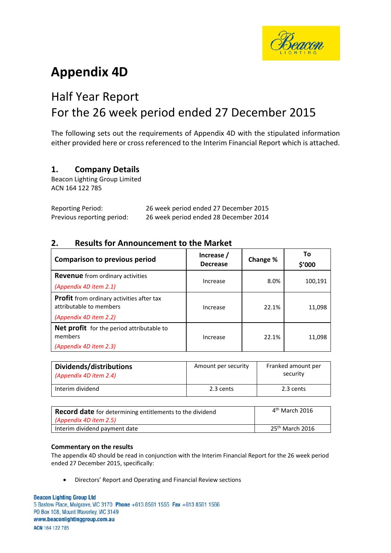

# **Appendix 4D**

# Half Year Report For the 26 week period ended 27 December 2015

The following sets out the requirements of Appendix 4D with the stipulated information either provided here or cross referenced to the Interim Financial Report which is attached.

# **1. Company Details**

Beacon Lighting Group Limited ACN 164 122 785

| <b>Reporting Period:</b>   | 26 week period ended 27 December 2015 |
|----------------------------|---------------------------------------|
| Previous reporting period: | 26 week period ended 28 December 2014 |

# **2. Results for Announcement to the Market**

| <b>Comparison to previous period</b>                                                                  | Increase /<br><b>Decrease</b> | Change % | То<br>\$′000 |
|-------------------------------------------------------------------------------------------------------|-------------------------------|----------|--------------|
| <b>Revenue</b> from ordinary activities                                                               | Increase                      | 8.0%     | 100.191      |
| (Appendix 4D item 2.1)                                                                                |                               |          |              |
| <b>Profit</b> from ordinary activities after tax<br>attributable to members<br>(Appendix 4D item 2.2) | Increase                      | 22.1%    | 11,098       |
| <b>Net profit</b> for the period attributable to<br>members<br>(Appendix 4D item 2.3)                 | Increase                      | 22.1%    | 11,098       |

| Dividends/distributions<br>(Appendix 4D item 2.4) | Amount per security | Franked amount per<br>security |
|---------------------------------------------------|---------------------|--------------------------------|
| Interim dividend                                  | 2.3 cents           | 2.3 cents                      |

| <b>Record date</b> for determining entitlements to the dividend | $4th$ March 2016            |
|-----------------------------------------------------------------|-----------------------------|
| (Appendix 4D item 2.5)                                          |                             |
| Interim dividend payment date                                   | 25 <sup>th</sup> March 2016 |

### **Commentary on the results**

The appendix 4D should be read in conjunction with the Interim Financial Report for the 26 week period ended 27 December 2015, specifically:

• Directors' Report and Operating and Financial Review sections

#### **Beacon Lighting Group Ltd**